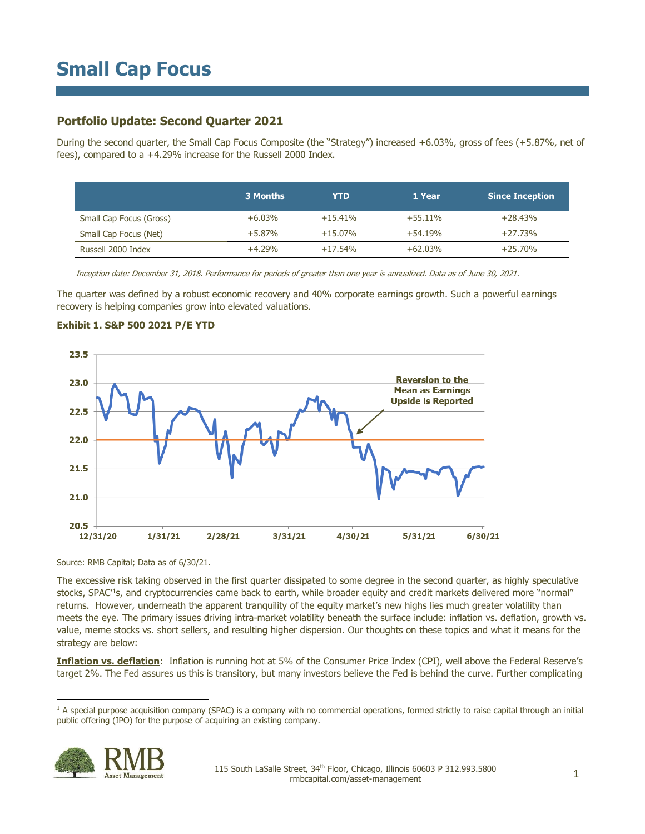## **Portfolio Update: Second Quarter 2021**

During the second quarter, the Small Cap Focus Composite (the "Strategy") increased +6.03%, gross of fees (+5.87%, net of fees), compared to a +4.29% increase for the Russell 2000 Index.

|                         | 3 Months  | YTD        | 1 Year     | <b>Since Inception</b> |
|-------------------------|-----------|------------|------------|------------------------|
| Small Cap Focus (Gross) | $+6.03\%$ | $+15.41%$  | $+55.11\%$ | $+28.43\%$             |
| Small Cap Focus (Net)   | $+5.87\%$ | $+15.07\%$ | $+54.19%$  | +27.73%                |
| Russell 2000 Index      | $+4.29%$  | $+17.54\%$ | $+62.03%$  | $+25.70\%$             |

Inception date: December 31, 2018. Performance for periods of greater than one year is annualized. Data as of June 30, 2021.

The quarter was defined by a robust economic recovery and 40% corporate earnings growth. Such a powerful earnings recovery is helping companies grow into elevated valuations.



### **Exhibit 1. S&P 500 2021 P/E YTD**

Source: RMB Capital; Data as of 6/30/21.

The excessive risk taking observed in the first quarter dissipated to some degree in the second quarter, as highly speculative stocks, SPAC<sup>1</sup>s, and cryptocurrencies came back to earth, while broader equity and credit markets delivered more "normal" returns. However, underneath the apparent tranquility of the equity market's new highs lies much greater volatility than meets the eye. The primary issues driving intra-market volatility beneath the surface include: inflation vs. deflation, growth vs. value, meme stocks vs. short sellers, and resulting higher dispersion. Our thoughts on these topics and what it means for the strategy are below:

**Inflation vs. deflation**: Inflation is running hot at 5% of the Consumer Price Index (CPI), well above the Federal Reserve's target 2%. The Fed assures us this is transitory, but many investors believe the Fed is behind the curve. Further complicating

<sup>&</sup>lt;sup>1</sup> A special purpose acquisition company (SPAC) is a company with no commercial operations, formed strictly to raise capital through an initial public offering (IPO) for the purpose of acquiring an existing company.

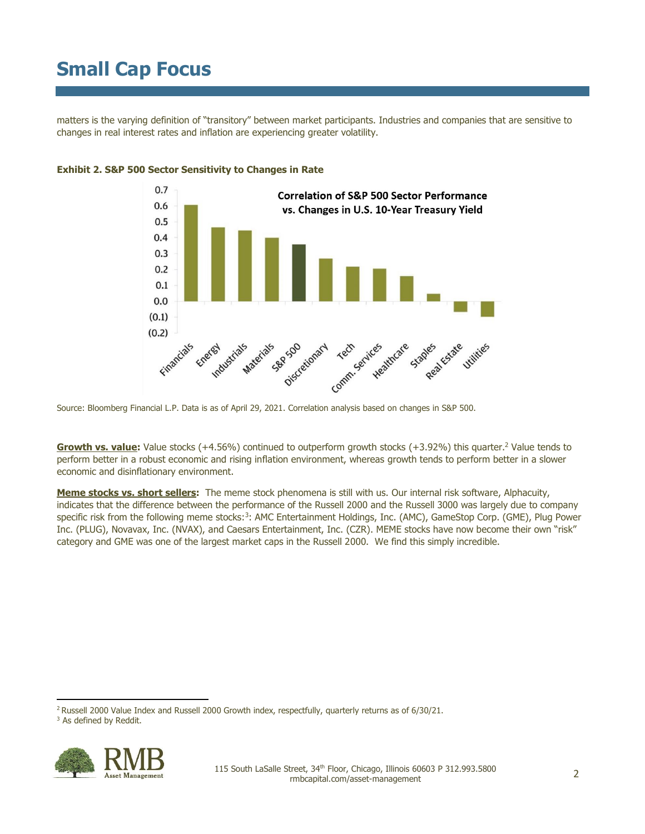matters is the varying definition of "transitory" between market participants. Industries and companies that are sensitive to changes in real interest rates and inflation are experiencing greater volatility.



### **Exhibit 2. S&P 500 Sector Sensitivity to Changes in Rate**

Source: Bloomberg Financial L.P. Data is as of April 29, 2021. Correlation analysis based on changes in S&P 500.

**Growth vs. value:** Value stocks (+4.56%) continued to outperform growth stocks (+3.92%) this quarter.<sup>2</sup> Value tends to perform better in a robust economic and rising inflation environment, whereas growth tends to perform better in a slower economic and disinflationary environment.

**Meme stocks vs. short sellers:** The meme stock phenomena is still with us. Our internal risk software, Alphacuity, indicates that the difference between the performance of the Russell 2000 and the Russell 3000 was largely due to company specific risk from the following meme stocks:<sup>3</sup>: AMC Entertainment Holdings, Inc. (AMC), GameStop Corp. (GME), Plug Power Inc. (PLUG), Novavax, Inc. (NVAX), and Caesars Entertainment, Inc. (CZR). MEME stocks have now become their own "risk" category and GME was one of the largest market caps in the Russell 2000. We find this simply incredible.

<sup>&</sup>lt;sup>2</sup> Russell 2000 Value Index and Russell 2000 Growth index, respectfully, quarterly returns as of 6/30/21.



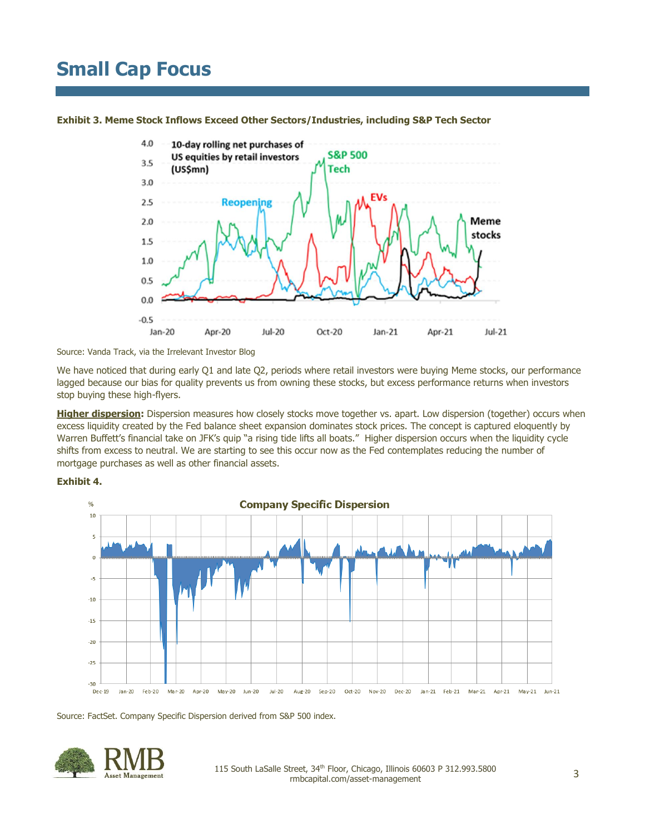

**Exhibit 3. Meme Stock Inflows Exceed Other Sectors/Industries, including S&P Tech Sector**

Source: Vanda Track, via the Irrelevant Investor Blog

We have noticed that during early Q1 and late Q2, periods where retail investors were buying Meme stocks, our performance lagged because our bias for quality prevents us from owning these stocks, but excess performance returns when investors stop buying these high-flyers.

**Higher dispersion:** Dispersion measures how closely stocks move together vs. apart. Low dispersion (together) occurs when excess liquidity created by the Fed balance sheet expansion dominates stock prices. The concept is captured eloquently by Warren Buffett's financial take on JFK's quip "a rising tide lifts all boats." Higher dispersion occurs when the liquidity cycle shifts from excess to neutral. We are starting to see this occur now as the Fed contemplates reducing the number of mortgage purchases as well as other financial assets.





Source: FactSet. Company Specific Dispersion derived from S&P 500 index.

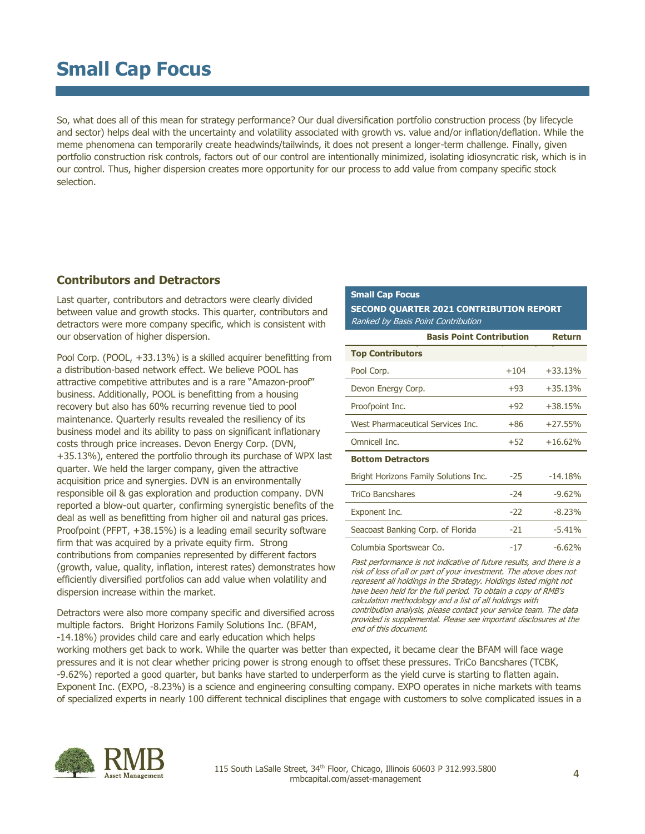So, what does all of this mean for strategy performance? Our dual diversification portfolio construction process (by lifecycle and sector) helps deal with the uncertainty and volatility associated with growth vs. value and/or inflation/deflation. While the meme phenomena can temporarily create headwinds/tailwinds, it does not present a longer-term challenge. Finally, given portfolio construction risk controls, factors out of our control are intentionally minimized, isolating idiosyncratic risk, which is in our control. Thus, higher dispersion creates more opportunity for our process to add value from company specific stock selection.

### **Contributors and Detractors**

Last quarter, contributors and detractors were clearly divided between value and growth stocks. This quarter, contributors and detractors were more company specific, which is consistent with our observation of higher dispersion.

Pool Corp. (POOL, +33.13%) is a skilled acquirer benefitting from a distribution-based network effect. We believe POOL has attractive competitive attributes and is a rare "Amazon-proof" business. Additionally, POOL is benefitting from a housing recovery but also has 60% recurring revenue tied to pool maintenance. Quarterly results revealed the resiliency of its business model and its ability to pass on significant inflationary costs through price increases. Devon Energy Corp. (DVN, +35.13%), entered the portfolio through its purchase of WPX last quarter. We held the larger company, given the attractive acquisition price and synergies. DVN is an environmentally responsible oil & gas exploration and production company. DVN reported a blow-out quarter, confirming synergistic benefits of the deal as well as benefitting from higher oil and natural gas prices. Proofpoint (PFPT, +38.15%) is a leading email security software firm that was acquired by a private equity firm. Strong contributions from companies represented by different factors (growth, value, quality, inflation, interest rates) demonstrates how efficiently diversified portfolios can add value when volatility and dispersion increase within the market.

Detractors were also more company specific and diversified across multiple factors. Bright Horizons Family Solutions Inc. (BFAM, -14.18%) provides child care and early education which helps

### **Small Cap Focus**

**SECOND QUARTER 2021 CONTRIBUTION REPORT** Ranked by Basis Point Contribution

| <b>Basis Point Contribution</b>       | Return |           |
|---------------------------------------|--------|-----------|
| <b>Top Contributors</b>               |        |           |
| Pool Corp.                            | $+104$ | $+33.13%$ |
| Devon Energy Corp.                    | $+93$  | $+35.13%$ |
| Proofpoint Inc.                       | $+92$  | $+38.15%$ |
| West Pharmaceutical Services Inc.     | $+86$  | $+27.55%$ |
| Omnicell Inc.                         | $+52$  | $+16.62%$ |
| <b>Bottom Detractors</b>              |        |           |
| Bright Horizons Family Solutions Inc. | $-25$  | $-14.18%$ |
| <b>TriCo Bancshares</b>               | $-24$  | $-9.62%$  |
| Exponent Inc.                         | $-22$  | $-8.23%$  |
| Seacoast Banking Corp. of Florida     | $-21$  | $-5.41%$  |
| Columbia Sportswear Co.               | -17    | $-6.62%$  |

Past performance is not indicative of future results, and there is a risk of loss of all or part of your investment. The above does not represent all holdings in the Strategy. Holdings listed might not have been held for the full period. To obtain a copy of RMB's calculation methodology and a list of all holdings with contribution analysis, please contact your service team. The data provided is supplemental. Please see important disclosures at the end of this document.

working mothers get back to work. While the quarter was better than expected, it became clear the BFAM will face wage pressures and it is not clear whether pricing power is strong enough to offset these pressures. TriCo Bancshares (TCBK, -9.62%) reported a good quarter, but banks have started to underperform as the yield curve is starting to flatten again. Exponent Inc. (EXPO, -8.23%) is a science and engineering consulting company. EXPO operates in niche markets with teams of specialized experts in nearly 100 different technical disciplines that engage with customers to solve complicated issues in a

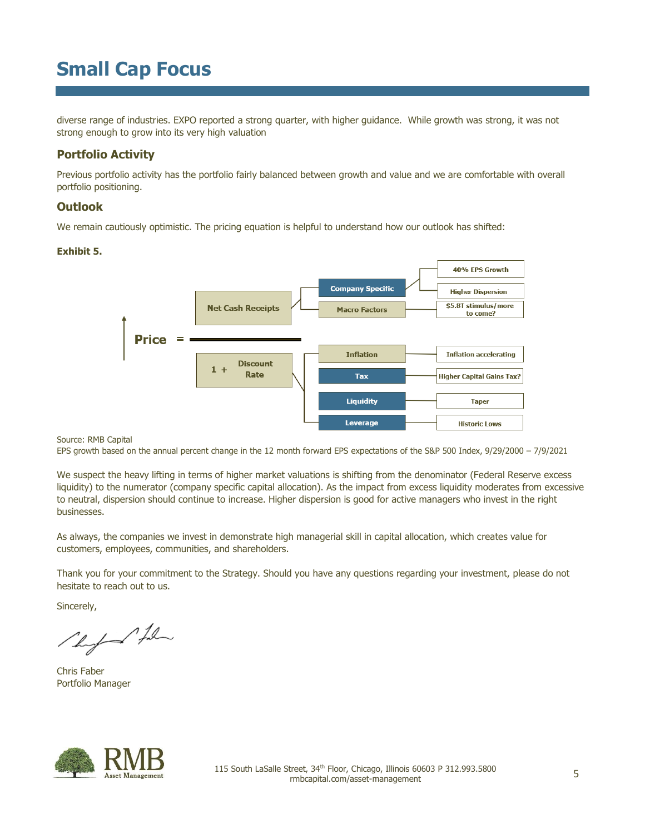diverse range of industries. EXPO reported a strong quarter, with higher guidance. While growth was strong, it was not strong enough to grow into its very high valuation

## **Portfolio Activity**

Previous portfolio activity has the portfolio fairly balanced between growth and value and we are comfortable with overall portfolio positioning.

### **Outlook**

We remain cautiously optimistic. The pricing equation is helpful to understand how our outlook has shifted:

### **Exhibit 5.**



Source: RMB Capital

EPS growth based on the annual percent change in the 12 month forward EPS expectations of the S&P 500 Index, 9/29/2000 – 7/9/2021

We suspect the heavy lifting in terms of higher market valuations is shifting from the denominator (Federal Reserve excess liquidity) to the numerator (company specific capital allocation). As the impact from excess liquidity moderates from excessive to neutral, dispersion should continue to increase. Higher dispersion is good for active managers who invest in the right businesses.

As always, the companies we invest in demonstrate high managerial skill in capital allocation, which creates value for customers, employees, communities, and shareholders.

Thank you for your commitment to the Strategy. Should you have any questions regarding your investment, please do not hesitate to reach out to us.

Sincerely,

Photo film

Chris Faber Portfolio Manager

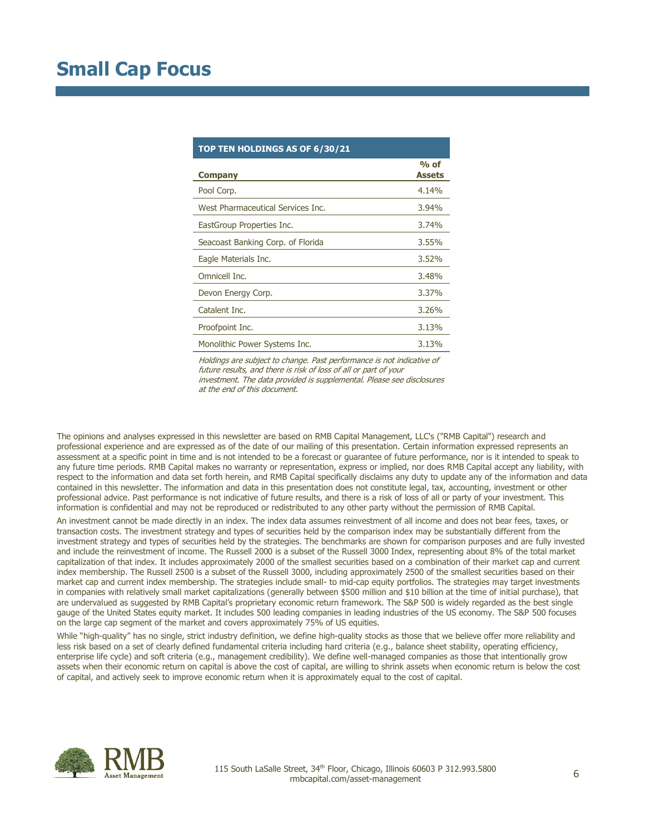| TOP TEN HOLDINGS AS OF 6/30/21    |                         |  |  |  |  |
|-----------------------------------|-------------------------|--|--|--|--|
| <b>Company</b>                    | $%$ of<br><b>Assets</b> |  |  |  |  |
| Pool Corp.                        | 4.14%                   |  |  |  |  |
| West Pharmaceutical Services Inc. | $3.94\%$                |  |  |  |  |
| EastGroup Properties Inc.         | 3.74%                   |  |  |  |  |
| Seacoast Banking Corp. of Florida | $3.55\%$                |  |  |  |  |
| Eagle Materials Inc.              | 3.52%                   |  |  |  |  |
| Omnicell Inc.                     | 3.48%                   |  |  |  |  |
| Devon Energy Corp.                | 3.37%                   |  |  |  |  |
| Catalent Inc.                     | 3,26%                   |  |  |  |  |
| Proofpoint Inc.                   | 3.13%                   |  |  |  |  |
| Monolithic Power Systems Inc.     | 3.13%                   |  |  |  |  |

Holdings are subject to change. Past performance is not indicative of future results, and there is risk of loss of all or part of your investment. The data provided is supplemental. Please see disclosures at the end of this document.

The opinions and analyses expressed in this newsletter are based on RMB Capital Management, LLC's ("RMB Capital") research and professional experience and are expressed as of the date of our mailing of this presentation. Certain information expressed represents an assessment at a specific point in time and is not intended to be a forecast or guarantee of future performance, nor is it intended to speak to any future time periods. RMB Capital makes no warranty or representation, express or implied, nor does RMB Capital accept any liability, with respect to the information and data set forth herein, and RMB Capital specifically disclaims any duty to update any of the information and data contained in this newsletter. The information and data in this presentation does not constitute legal, tax, accounting, investment or other professional advice. Past performance is not indicative of future results, and there is a risk of loss of all or party of your investment. This information is confidential and may not be reproduced or redistributed to any other party without the permission of RMB Capital.

An investment cannot be made directly in an index. The index data assumes reinvestment of all income and does not bear fees, taxes, or transaction costs. The investment strategy and types of securities held by the comparison index may be substantially different from the investment strategy and types of securities held by the strategies. The benchmarks are shown for comparison purposes and are fully invested and include the reinvestment of income. The Russell 2000 is a subset of the Russell 3000 Index, representing about 8% of the total market capitalization of that index. It includes approximately 2000 of the smallest securities based on a combination of their market cap and current index membership. The Russell 2500 is a subset of the Russell 3000, including approximately 2500 of the smallest securities based on their market cap and current index membership. The strategies include small- to mid-cap equity portfolios. The strategies may target investments in companies with relatively small market capitalizations (generally between \$500 million and \$10 billion at the time of initial purchase), that are undervalued as suggested by RMB Capital's proprietary economic return framework. The S&P 500 is widely regarded as the best single gauge of the United States equity market. It includes 500 leading companies in leading industries of the US economy. The S&P 500 focuses on the large cap segment of the market and covers approximately 75% of US equities.

While "high-quality" has no single, strict industry definition, we define high-quality stocks as those that we believe offer more reliability and less risk based on a set of clearly defined fundamental criteria including hard criteria (e.g., balance sheet stability, operating efficiency, enterprise life cycle) and soft criteria (e.g., management credibility). We define well-managed companies as those that intentionally grow assets when their economic return on capital is above the cost of capital, are willing to shrink assets when economic return is below the cost of capital, and actively seek to improve economic return when it is approximately equal to the cost of capital.